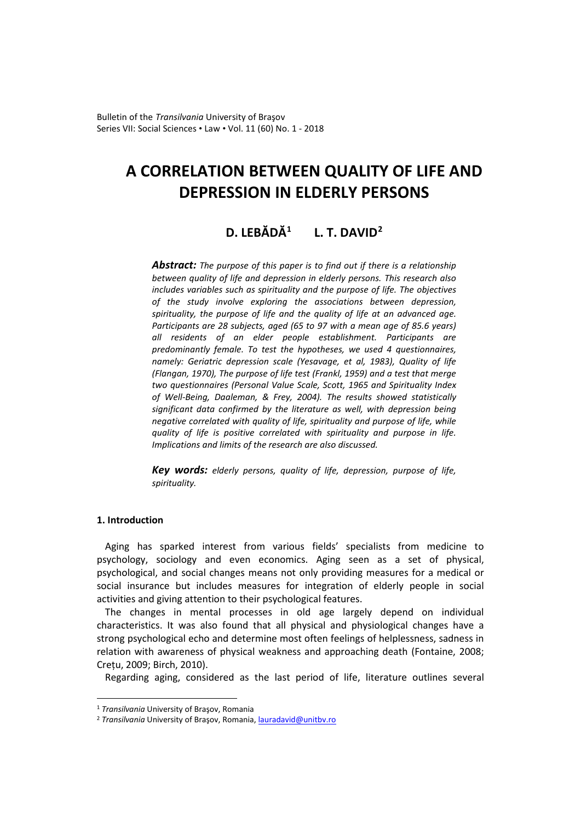Bulletin of the *Transilvania* University of Braşov Series VII: Social Sciences • Law • Vol. 11 (60) No. 1 - 2018

# **A CORRELATION BETWEEN QUALITY OF LIFE AND DEPRESSION IN ELDERLY PERSONS**

# **D. LEBĂDĂ[1](#page-0-0) L. T. DAVID[2](#page-0-1)**

*Abstract: The purpose of this paper is to find out if there is a relationship between quality of life and depression in elderly persons. This research also includes variables such as spirituality and the purpose of life. The objectives of the study involve exploring the associations between depression, spirituality, the purpose of life and the quality of life at an advanced age. Participants are 28 subjects, aged (65 to 97 with a mean age of 85.6 years) all residents of an elder people establishment. Participants are predominantly female. To test the hypotheses, we used 4 questionnaires, namely: Geriatric depression scale (Yesavage, et al, 1983), Quality of life (Flangan, 1970), The purpose of life test (Frankl, 1959) and a test that merge two questionnaires (Personal Value Scale, Scott, 1965 and Spirituality Index of Well-Being, Daaleman, & Frey, 2004). The results showed statistically significant data confirmed by the literature as well, with depression being negative correlated with quality of life, spirituality and purpose of life, while quality of life is positive correlated with spirituality and purpose in life. Implications and limits of the research are also discussed.*

*Key words: elderly persons, quality of life, depression, purpose of life, spirituality.*

# **1. Introduction**

 $\overline{a}$ 

Aging has sparked interest from various fields' specialists from medicine to psychology, sociology and even economics. Aging seen as a set of physical, psychological, and social changes means not only providing measures for a medical or social insurance but includes measures for integration of elderly people in social activities and giving attention to their psychological features.

The changes in mental processes in old age largely depend on individual characteristics. It was also found that all physical and physiological changes have a strong psychological echo and determine most often feelings of helplessness, sadness in relation with awareness of physical weakness and approaching death (Fontaine, 2008; Crețu, 2009; Birch, 2010).

Regarding aging, considered as the last period of life, literature outlines several

<span id="page-0-0"></span><sup>1</sup> *Transilvania* University of Braşov, Romania

<span id="page-0-1"></span><sup>&</sup>lt;sup>2</sup> Transilvania University of Brașov, Romania[, lauradavid@unitbv.ro](mailto:lauradavid@unitbv.ro)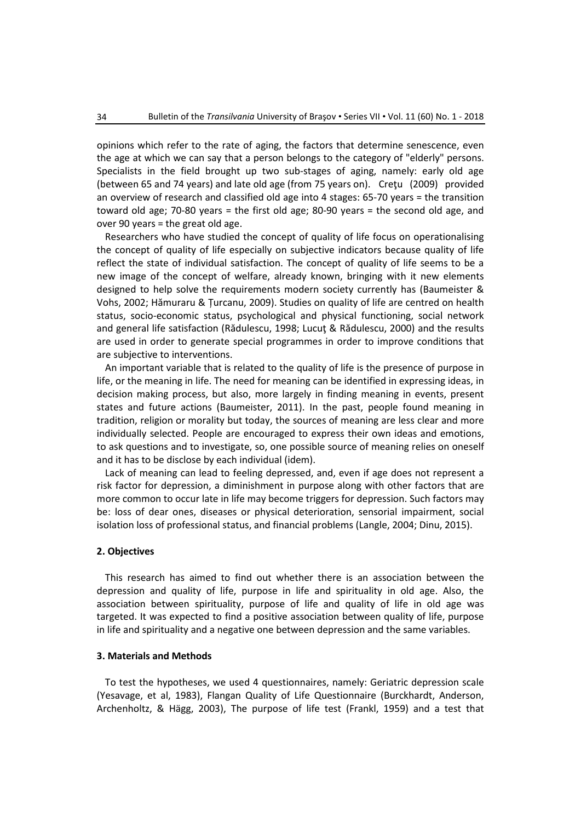opinions which refer to the rate of aging, the factors that determine senescence, even the age at which we can say that a person belongs to the category of "elderly" persons. Specialists in the field brought up two sub-stages of aging, namely: early old age (between 65 and 74 years) and late old age (from 75 years on). Creţu (2009) provided an overview of research and classified old age into 4 stages: 65-70 years = the transition toward old age; 70-80 years = the first old age; 80-90 years = the second old age, and over 90 years = the great old age.

Researchers who have studied the concept of quality of life focus on operationalising the concept of quality of life especially on subjective indicators because quality of life reflect the state of individual satisfaction. The concept of quality of life seems to be a new image of the concept of welfare, already known, bringing with it new elements designed to help solve the requirements modern society currently has (Baumeister & Vohs, 2002; Hămuraru & Țurcanu, 2009). Studies on quality of life are centred on health status, socio-economic status, psychological and physical functioning, social network and general life satisfaction (Rădulescu, 1998; Lucut & Rădulescu, 2000) and the results are used in order to generate special programmes in order to improve conditions that are subjective to interventions.

An important variable that is related to the quality of life is the presence of purpose in life, or the meaning in life. The need for meaning can be identified in expressing ideas, in decision making process, but also, more largely in finding meaning in events, present states and future actions (Baumeister, 2011). In the past, people found meaning in tradition, religion or morality but today, the sources of meaning are less clear and more individually selected. People are encouraged to express their own ideas and emotions, to ask questions and to investigate, so, one possible source of meaning relies on oneself and it has to be disclose by each individual (idem).

Lack of meaning can lead to feeling depressed, and, even if age does not represent a risk factor for depression, a diminishment in purpose along with other factors that are more common to occur late in life may become triggers for depression. Such factors may be: loss of dear ones, diseases or physical deterioration, sensorial impairment, social isolation loss of professional status, and financial problems (Langle, 2004; Dinu, 2015).

# **2. Objectives**

This research has aimed to find out whether there is an association between the depression and quality of life, purpose in life and spirituality in old age. Also, the association between spirituality, purpose of life and quality of life in old age was targeted. It was expected to find a positive association between quality of life, purpose in life and spirituality and a negative one between depression and the same variables.

# **3. Materials and Methods**

To test the hypotheses, we used 4 questionnaires, namely: Geriatric depression scale (Yesavage, et al, 1983), Flangan Quality of Life Questionnaire (Burckhardt, Anderson, Archenholtz, & Hägg, 2003), The purpose of life test (Frankl, 1959) and a test that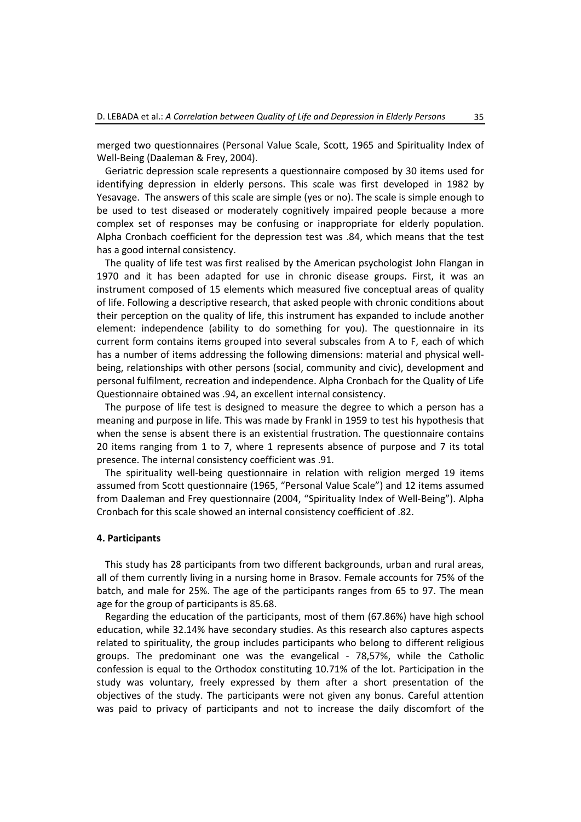merged two questionnaires (Personal Value Scale, Scott, 1965 and Spirituality Index of Well-Being (Daaleman & Frey, 2004).

Geriatric depression scale represents a questionnaire composed by 30 items used for identifying depression in elderly persons. This scale was first developed in 1982 by Yesavage. The answers of this scale are simple (yes or no). The scale is simple enough to be used to test diseased or moderately cognitively impaired people because a more complex set of responses may be confusing or inappropriate for elderly population. Alpha Cronbach coefficient for the depression test was .84, which means that the test has a good internal consistency.

The quality of life test was first realised by the American psychologist John Flangan in 1970 and it has been adapted for use in chronic disease groups. First, it was an instrument composed of 15 elements which measured five conceptual areas of quality of life. Following a descriptive research, that asked people with chronic conditions about their perception on the quality of life, this instrument has expanded to include another element: independence (ability to do something for you). The questionnaire in its current form contains items grouped into several subscales from A to F, each of which has a number of items addressing the following dimensions: material and physical wellbeing, relationships with other persons (social, community and civic), development and personal fulfilment, recreation and independence. Alpha Cronbach for the Quality of Life Questionnaire obtained was .94, an excellent internal consistency.

The purpose of life test is designed to measure the degree to which a person has a meaning and purpose in life. This was made by Frankl in 1959 to test his hypothesis that when the sense is absent there is an existential frustration. The questionnaire contains 20 items ranging from 1 to 7, where 1 represents absence of purpose and 7 its total presence. The internal consistency coefficient was .91.

The spirituality well-being questionnaire in relation with religion merged 19 items assumed from Scott questionnaire (1965, "Personal Value Scale") and 12 items assumed from Daaleman and Frey questionnaire (2004, "Spirituality Index of Well-Being"). Alpha Cronbach for this scale showed an internal consistency coefficient of .82.

#### **4. Participants**

This study has 28 participants from two different backgrounds, urban and rural areas, all of them currently living in a nursing home in Brasov. Female accounts for 75% of the batch, and male for 25%. The age of the participants ranges from 65 to 97. The mean age for the group of participants is 85.68.

Regarding the education of the participants, most of them (67.86%) have high school education, while 32.14% have secondary studies. As this research also captures aspects related to spirituality, the group includes participants who belong to different religious groups. The predominant one was the evangelical - 78,57%, while the Catholic confession is equal to the Orthodox constituting 10.71% of the lot. Participation in the study was voluntary, freely expressed by them after a short presentation of the objectives of the study. The participants were not given any bonus. Careful attention was paid to privacy of participants and not to increase the daily discomfort of the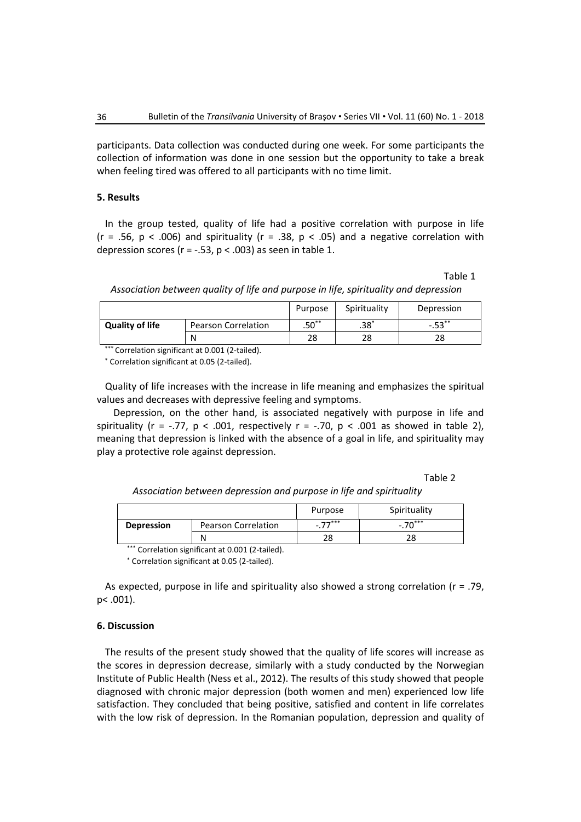participants. Data collection was conducted during one week. For some participants the collection of information was done in one session but the opportunity to take a break when feeling tired was offered to all participants with no time limit.

# **5. Results**

In the group tested, quality of life had a positive correlation with purpose in life  $(r = .56, p < .006)$  and spirituality  $(r = .38, p < .05)$  and a negative correlation with depression scores ( $r = -0.53$ ,  $p < 0.003$ ) as seen in table 1.

Table 1

*Association between quality of life and purpose in life, spirituality and depression*

|                        |                     | Purpose | Spirituality | Depression |
|------------------------|---------------------|---------|--------------|------------|
| <b>Quality of life</b> | Pearson Correlation | $.50**$ | $.38*$       | $-.53***$  |
|                        | N                   | 28      | 28           | 28         |

\*\*\* Correlation significant at 0.001 (2-tailed).

\* Correlation significant at 0.05 (2-tailed).

Quality of life increases with the increase in life meaning and emphasizes the spiritual values and decreases with depressive feeling and symptoms.

Depression, on the other hand, is associated negatively with purpose in life and spirituality (r = -.77,  $p < .001$ , respectively r = -.70,  $p < .001$  as showed in table 2), meaning that depression is linked with the absence of a goal in life, and spirituality may play a protective role against depression.

### Table 2

*Association between depression and purpose in life and spirituality*

|                   |                     | Purpose      | Spirituality |
|-------------------|---------------------|--------------|--------------|
| <b>Depression</b> | Pearson Correlation | $77***$<br>- | $-.70***$    |
|                   | Ν                   |              |              |

\*\*\* Correlation significant at 0.001 (2-tailed).

\* Correlation significant at 0.05 (2-tailed).

As expected, purpose in life and spirituality also showed a strong correlation (r = .79, p< .001).

# **6. Discussion**

The results of the present study showed that the quality of life scores will increase as the scores in depression decrease, similarly with a study conducted by the Norwegian Institute of Public Health (Ness et al., 2012). The results of this study showed that people diagnosed with chronic major depression (both women and men) experienced low life satisfaction. They concluded that being positive, satisfied and content in life correlates with the low risk of depression. In the Romanian population, depression and quality of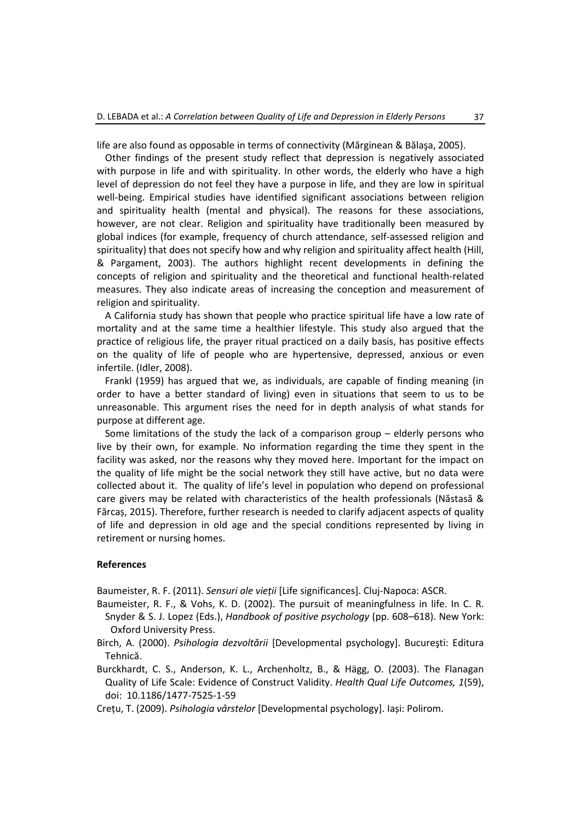life are also found as opposable in terms of connectivity (Mărginean & Bălaşa, 2005).

Other findings of the present study reflect that depression is negatively associated with purpose in life and with spirituality. In other words, the elderly who have a high level of depression do not feel they have a purpose in life, and they are low in spiritual well-being. Empirical studies have identified significant associations between religion and spirituality health (mental and physical). The reasons for these associations, however, are not clear. Religion and spirituality have traditionally been measured by global indices (for example, frequency of church attendance, self-assessed religion and spirituality) that does not specify how and why religion and spirituality affect health (Hill, & Pargament, 2003). The authors highlight recent developments in defining the concepts of religion and spirituality and the theoretical and functional health-related measures. They also indicate areas of increasing the conception and measurement of religion and spirituality.

A California study has shown that people who practice spiritual life have a low rate of mortality and at the same time a healthier lifestyle. This study also argued that the practice of religious life, the prayer ritual practiced on a daily basis, has positive effects on the quality of life of people who are hypertensive, depressed, anxious or even infertile. (Idler, 2008).

Frankl (1959) has argued that we, as individuals, are capable of finding meaning (in order to have a better standard of living) even in situations that seem to us to be unreasonable. This argument rises the need for in depth analysis of what stands for purpose at different age.

Some limitations of the study the lack of a comparison group – elderly persons who live by their own, for example. No information regarding the time they spent in the facility was asked, nor the reasons why they moved here. Important for the impact on the quality of life might be the social network they still have active, but no data were collected about it. The quality of life's level in population who depend on professional care givers may be related with characteristics of the health professionals (Năstasă & Fărcaș, 2015). Therefore, further research is needed to clarify adjacent aspects of quality of life and depression in old age and the special conditions represented by living in retirement or nursing homes.

# **References**

Baumeister, R. F. (2011). *Sensuri ale vieții* [Life significances]. Cluj-Napoca: ASCR.

- Baumeister, R. F., & Vohs, K. D. (2002). The pursuit of meaningfulness in life. In C. R. Snyder & S. J. Lopez (Eds.), *Handbook of positive psychology* (pp. 608–618). New York: Oxford University Press.
- Birch, A. (2000). *Psihologia dezvoltării* [Developmental psychology]. Bucureşti: Editura Tehnică.
- Burckhardt, C. S., Anderson, K. L., Archenholtz, B., & Hägg, O. (2003). The Flanagan Quality of Life Scale: Evidence of Construct Validity. *Health Qual Life Outcomes, 1*(59), doi: 10.1186/1477-7525-1-59

Crețu, T. (2009). *Psihologia vârstelor* [Developmental psychology]. Iași: Polirom.